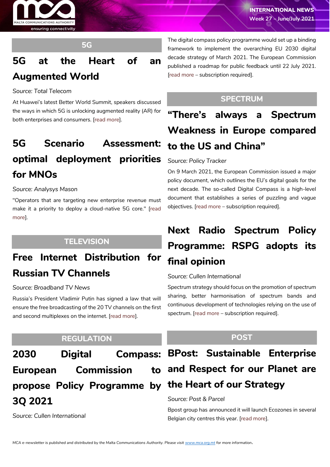



## **5G**

# **5G at the Heart of an Augmented World**

### *Source: Total Telecom*

At Huawei's latest Better World Summit, speakers discussed the ways in which 5G is unlocking augmented reality (AR) for both enterprises and consumers. [\[read more\]](https://www.totaltele.com/510117/5G-at-the-heart-of-an-augmented-world).

# **5G Scenario Assessment: optimal deployment priorities for MNOs**

#### *Source: Analysys Mason*

"Operators that are targeting new enterprise revenue must make it a priority to deploy a cloud-native 5G core." [\[read](https://www.analysysmason.com/research/content/perspectives/huawei-5g-b2b-rdns0/)  [more\]](https://www.analysysmason.com/research/content/perspectives/huawei-5g-b2b-rdns0/).

# **TELEVISION**

# **Free Internet Distribution for Russian TV Channels**

#### *Source: Broadband TV News*

Russia's President Vladimir Putin has signed a law that will ensure the free broadcasting of the 20 TV channels on the first and second multiplexes on the internet. [\[read more\]](https://www.broadbandtvnews.com/2021/07/02/free-internet-distribution-for-russian-tv-channels/).

## **REGULATION**

**European Commission propose Policy Programme by the Heart of our Strategy 3Q 2021**

*Source: Cullen International*

The digital compass policy programme would set up a binding framework to implement the overarching EU 2030 digital decade strategy of March 2021. The European Commission published a roadmap for public feedback until 22 July 2021. [\[read more](https://www.cullen-international.com/client/site/documents/FLTEEP20210042) – subscription required].

## **SPECTRUM**

**"There's always a Spectrum Weakness in Europe compared to the US and China"**

#### *Source: Policy Tracker*

On 9 March 2021, the European Commission issued a major policy document, which outlines the EU's digital goals for the next decade. The so-called Digital Compass is a high-level document that establishes a series of puzzling and vague objectives. [\[read more](https://www.policytracker.com/theres-always-a-spectrum-weakness-in-europe-compared-to-the-us-and-china/) – subscription required].

# **Next Radio Spectrum Policy Programme: RSPG adopts its final opinion**

## *Source: Cullen International*

Spectrum strategy should focus on the promotion of spectrum sharing, better harmonisation of spectrum bands and continuous development of technologies relying on the use of spectrum. [\[read more](https://www.cullen-international.com/client/site/documents/FLTEEP20210044) – subscription required].

## **POST**

# **2030 Digital Compass: BPost: Sustainable Enterprise and Respect for our Planet are**

#### *Source: Post & Parcel*

Bpost group has announced it will launch Ecozones in several Belgian city centres this year. [\[read more\]](https://postandparcel.info/138979/news/post/bpost-sustainable-enterprise-and-respect-for-our-planet-are-at-the-heart-of-our-strategy/).